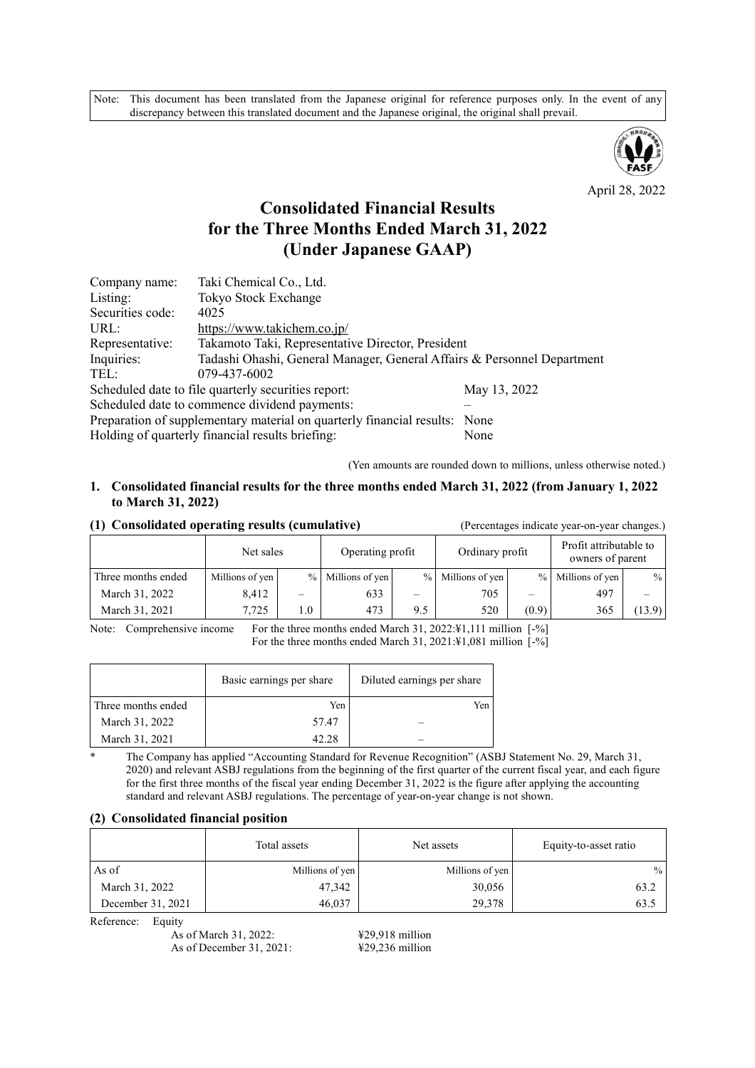Note: This document has been translated from the Japanese original for reference purposes only. In the event of any discrepancy between this translated document and the Japanese original, the original shall prevail.



April 28, 2022

## **Consolidated Financial Results for the Three Months Ended March 31, 2022 (Under Japanese GAAP)**

| Company name:                                                              | Taki Chemical Co., Ltd.                                                 |              |  |  |  |  |
|----------------------------------------------------------------------------|-------------------------------------------------------------------------|--------------|--|--|--|--|
| Listing:                                                                   | Tokyo Stock Exchange                                                    |              |  |  |  |  |
| Securities code:                                                           | 4025                                                                    |              |  |  |  |  |
| URL:                                                                       | https://www.takichem.co.jp/                                             |              |  |  |  |  |
| Representative:                                                            | Takamoto Taki, Representative Director, President                       |              |  |  |  |  |
| Inquiries:                                                                 | Tadashi Ohashi, General Manager, General Affairs & Personnel Department |              |  |  |  |  |
| TEL:                                                                       | 079-437-6002                                                            |              |  |  |  |  |
|                                                                            | Scheduled date to file quarterly securities report:                     | May 13, 2022 |  |  |  |  |
| Scheduled date to commence dividend payments:                              |                                                                         |              |  |  |  |  |
| Preparation of supplementary material on quarterly financial results: None |                                                                         |              |  |  |  |  |
|                                                                            | Holding of quarterly financial results briefing:                        | None         |  |  |  |  |

(Yen amounts are rounded down to millions, unless otherwise noted.)

### **1. Consolidated financial results for the three months ended March 31, 2022 (from January 1, 2022 to March 31, 2022)**

#### **(1) Consolidated operating results (cumulative)** (Percentages indicate year-on-year changes.)

|                    | Net sales       |     | Operating profit  |     | Ordinary profit   |               | Profit attributable to<br>owners of parent |        |  |
|--------------------|-----------------|-----|-------------------|-----|-------------------|---------------|--------------------------------------------|--------|--|
| Three months ended | Millions of yen |     | % Millions of yen |     | % Millions of yen | $\frac{0}{0}$ | Millions of yen                            | $\%$   |  |
| March 31, 2022     | 8,412           |     | 633               |     | 705               |               | 497                                        |        |  |
| March 31, 2021     | 7.725           | 1.0 | 473               | 9.5 | 520               | (0.9)         | 365                                        | (13.9) |  |

Note: Comprehensive income For the three months ended March 31, 2022:¥1,111 million [-%] For the three months ended March 31, 2021:¥1,081 million [-%]

|                    | Basic earnings per share | Diluted earnings per share |
|--------------------|--------------------------|----------------------------|
| Three months ended | Yen                      | Yen                        |
| March 31, 2022     | 57.47                    |                            |
| March 31, 2021     | 42.28                    |                            |

\* The Company has applied "Accounting Standard for Revenue Recognition" (ASBJ Statement No. 29, March 31, 2020) and relevant ASBJ regulations from the beginning of the first quarter of the current fiscal year, and each figure for the first three months of the fiscal year ending December 31, 2022 is the figure after applying the accounting standard and relevant ASBJ regulations. The percentage of year-on-year change is not shown.

#### **(2) Consolidated financial position**

|                   | Total assets    | Net assets      | Equity-to-asset ratio |  |
|-------------------|-----------------|-----------------|-----------------------|--|
| As of             | Millions of yen | Millions of yen | $\%$                  |  |
| March 31, 2022    | 47,342          | 30,056          | 63.2                  |  |
| December 31, 2021 | 46,037          | 29,378          | 63.5                  |  |

Reference: Equity

As of March 31, 2022: ¥29,918 million As of December 31, 2021: ¥29,236 million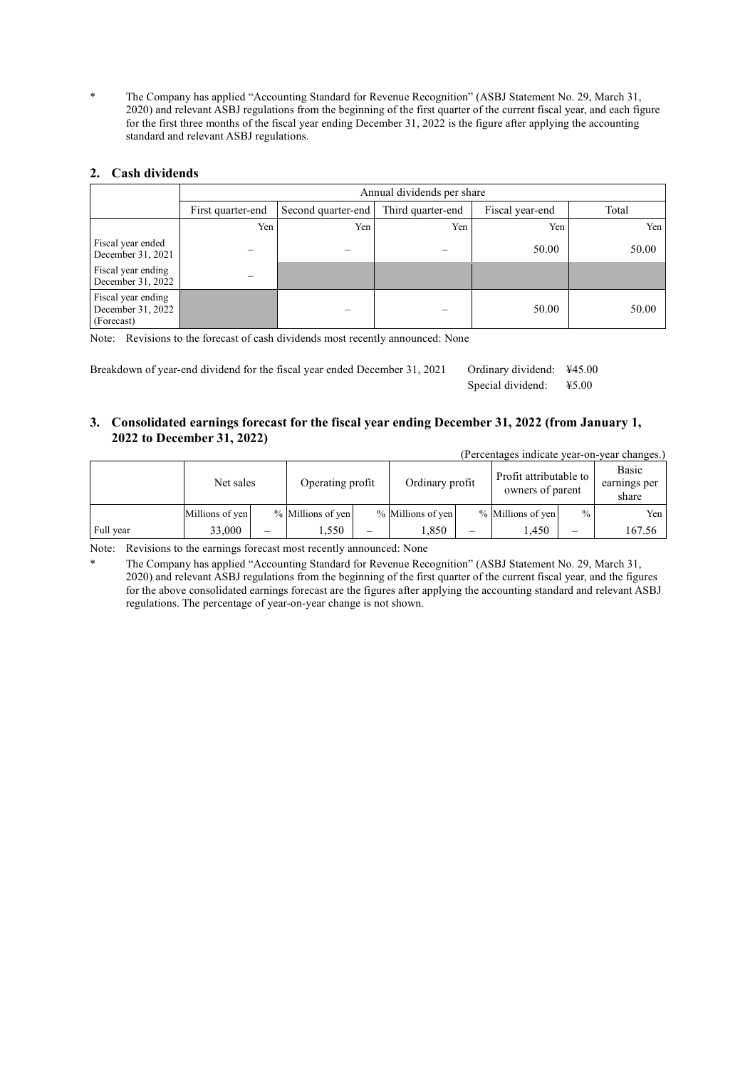\* The Company has applied "Accounting Standard for Revenue Recognition" (ASBJ Statement No. 29, March 31, 2020) and relevant ASBJ regulations from the beginning of the first quarter of the current fiscal year, and each figure for the first three months of the fiscal year ending December 31, 2022 is the figure after applying the accounting standard and relevant ASBJ regulations.

## **2. Cash dividends**

|                                                       |                   | Annual dividends per share |                   |                 |       |  |  |  |
|-------------------------------------------------------|-------------------|----------------------------|-------------------|-----------------|-------|--|--|--|
|                                                       | First quarter-end | Second quarter-end         | Third quarter-end | Fiscal year-end | Total |  |  |  |
|                                                       | Yen               | Yen                        | Yen               | Yen             | Yen   |  |  |  |
| Fiscal year ended<br>December 31, 2021                |                   |                            |                   | 50.00           | 50.00 |  |  |  |
| Fiscal year ending<br>December 31, 2022               |                   |                            |                   |                 |       |  |  |  |
| Fiscal year ending<br>December 31, 2022<br>(Forecast) |                   |                            |                   | 50.00           | 50.00 |  |  |  |

Note: Revisions to the forecast of cash dividends most recently announced: None

Breakdown of year-end dividend for the fiscal year ended December 31, 2021 Ordinary dividend: ¥45.00 Special dividend: ¥5.00

#### **3. Consolidated earnings forecast for the fiscal year ending December 31, 2022 (from January 1, 2022 to December 31, 2022)**

| (Percentages indicate year-on-year changes.) |                 |   |                   |                          |                   |  |                                            |               |                                |
|----------------------------------------------|-----------------|---|-------------------|--------------------------|-------------------|--|--------------------------------------------|---------------|--------------------------------|
|                                              | Net sales       |   | Operating profit  |                          | Ordinary profit   |  | Profit attributable to<br>owners of parent |               | Basic<br>earnings per<br>share |
|                                              | Millions of yen |   | % Millions of yen |                          | % Millions of yen |  | % Millions of yen                          | $\frac{0}{0}$ | Yen                            |
| Full year                                    | 33,000          | — | 1,550             | $\overline{\phantom{0}}$ | 1,850             |  | .450                                       |               | 167.56                         |

Note: Revisions to the earnings forecast most recently announced: None

The Company has applied "Accounting Standard for Revenue Recognition" (ASBJ Statement No. 29, March 31, 2020) and relevant ASBJ regulations from the beginning of the first quarter of the current fiscal year, and the figures for the above consolidated earnings forecast are the figures after applying the accounting standard and relevant ASBJ regulations. The percentage of year-on-year change is not shown.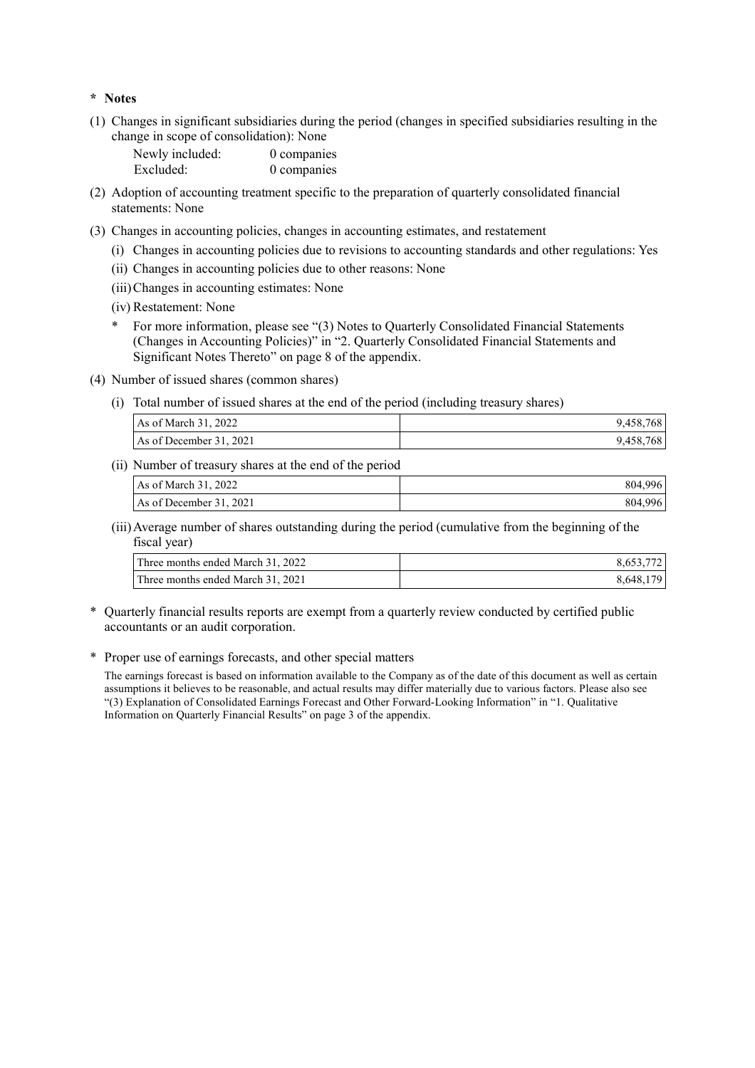#### **\* Notes**

(1) Changes in significant subsidiaries during the period (changes in specified subsidiaries resulting in the change in scope of consolidation): None

| Newly included: | 0 companies |
|-----------------|-------------|
| Excluded:       | 0 companies |

- (2) Adoption of accounting treatment specific to the preparation of quarterly consolidated financial statements: None
- (3) Changes in accounting policies, changes in accounting estimates, and restatement
	- (i) Changes in accounting policies due to revisions to accounting standards and other regulations: Yes
	- (ii) Changes in accounting policies due to other reasons: None
	- (iii)Changes in accounting estimates: None
	- (iv) Restatement: None
	- For more information, please see "(3) Notes to Quarterly Consolidated Financial Statements (Changes in Accounting Policies)" in "2. Quarterly Consolidated Financial Statements and Significant Notes Thereto" on page 8 of the appendix.
- (4) Number of issued shares (common shares)
	- (i) Total number of issued shares at the end of the period (including treasury shares)

| As of March $31, 2022$  | 9,458,768 |
|-------------------------|-----------|
| As of December 31, 2021 | 9,458,768 |

(ii) Number of treasury shares at the end of the period

| As of March 31, 2022    | 804.996 |
|-------------------------|---------|
| As of December 31, 2021 | 804.996 |

#### (iii)Average number of shares outstanding during the period (cumulative from the beginning of the fiscal year)

| Three months ended March 31, 2022 | 8,653,772 |
|-----------------------------------|-----------|
| Three months ended March 31, 2021 | 8.648.179 |

\* Quarterly financial results reports are exempt from a quarterly review conducted by certified public accountants or an audit corporation.

#### \* Proper use of earnings forecasts, and other special matters

The earnings forecast is based on information available to the Company as of the date of this document as well as certain assumptions it believes to be reasonable, and actual results may differ materially due to various factors. Please also see "(3) Explanation of Consolidated Earnings Forecast and Other Forward-Looking Information" in "1. Qualitative Information on Quarterly Financial Results" on page 3 of the appendix.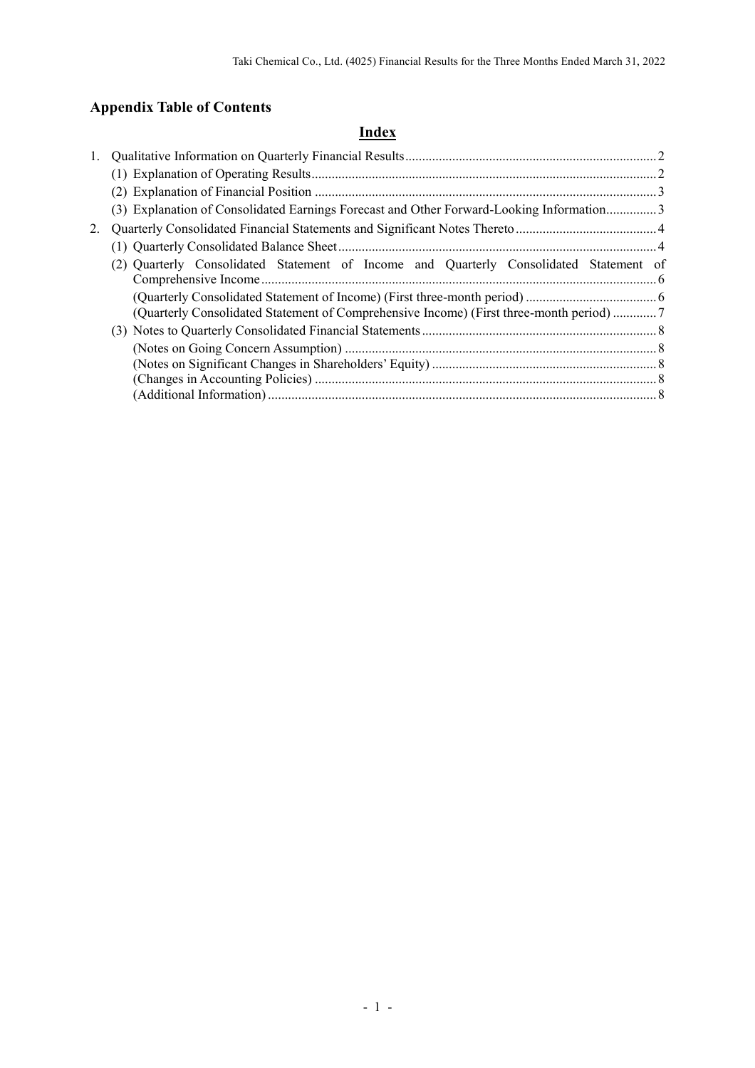# **Appendix Table of Contents**

## **Index**

| 1. |                                                                                          |  |
|----|------------------------------------------------------------------------------------------|--|
|    |                                                                                          |  |
|    |                                                                                          |  |
|    | (3) Explanation of Consolidated Earnings Forecast and Other Forward-Looking Information3 |  |
| 2. |                                                                                          |  |
|    |                                                                                          |  |
|    | (2) Quarterly Consolidated Statement of Income and Quarterly Consolidated Statement of   |  |
|    | (Quarterly Consolidated Statement of Comprehensive Income) (First three-month period) 7  |  |
|    |                                                                                          |  |
|    |                                                                                          |  |
|    |                                                                                          |  |
|    |                                                                                          |  |
|    |                                                                                          |  |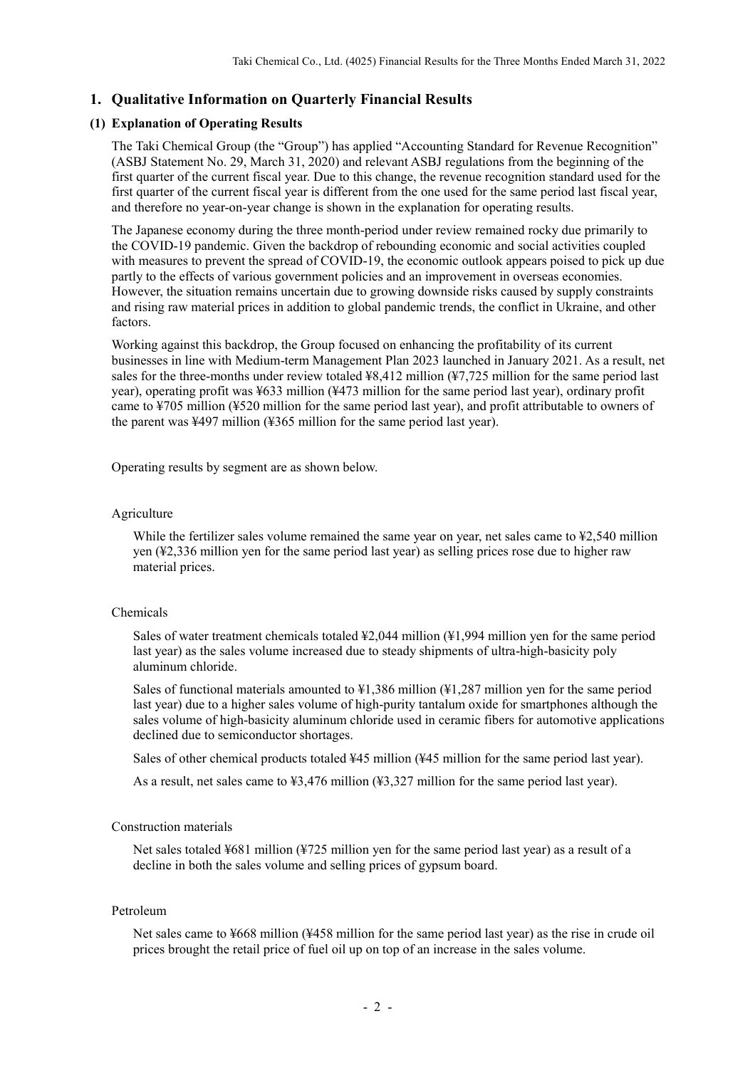## **1. Qualitative Information on Quarterly Financial Results**

### **(1) Explanation of Operating Results**

The Taki Chemical Group (the "Group") has applied "Accounting Standard for Revenue Recognition" (ASBJ Statement No. 29, March 31, 2020) and relevant ASBJ regulations from the beginning of the first quarter of the current fiscal year. Due to this change, the revenue recognition standard used for the first quarter of the current fiscal year is different from the one used for the same period last fiscal year, and therefore no year-on-year change is shown in the explanation for operating results.

The Japanese economy during the three month-period under review remained rocky due primarily to the COVID-19 pandemic. Given the backdrop of rebounding economic and social activities coupled with measures to prevent the spread of COVID-19, the economic outlook appears poised to pick up due partly to the effects of various government policies and an improvement in overseas economies. However, the situation remains uncertain due to growing downside risks caused by supply constraints and rising raw material prices in addition to global pandemic trends, the conflict in Ukraine, and other factors.

Working against this backdrop, the Group focused on enhancing the profitability of its current businesses in line with Medium-term Management Plan 2023 launched in January 2021. As a result, net sales for the three-months under review totaled ¥8,412 million (¥7,725 million for the same period last year), operating profit was ¥633 million (¥473 million for the same period last year), ordinary profit came to ¥705 million (¥520 million for the same period last year), and profit attributable to owners of the parent was ¥497 million (¥365 million for the same period last year).

Operating results by segment are as shown below.

#### Agriculture

While the fertilizer sales volume remained the same year on year, net sales came to  $\frac{1}{2}$ , 540 million yen (¥2,336 million yen for the same period last year) as selling prices rose due to higher raw material prices.

#### Chemicals

Sales of water treatment chemicals totaled ¥2,044 million (¥1,994 million yen for the same period last year) as the sales volume increased due to steady shipments of ultra-high-basicity poly aluminum chloride.

Sales of functional materials amounted to ¥1,386 million (¥1,287 million yen for the same period last year) due to a higher sales volume of high-purity tantalum oxide for smartphones although the sales volume of high-basicity aluminum chloride used in ceramic fibers for automotive applications declined due to semiconductor shortages.

Sales of other chemical products totaled ¥45 million (¥45 million for the same period last year).

As a result, net sales came to ¥3,476 million (¥3,327 million for the same period last year).

## Construction materials

Net sales totaled ¥681 million (¥725 million yen for the same period last year) as a result of a decline in both the sales volume and selling prices of gypsum board.

#### Petroleum

Net sales came to ¥668 million (¥458 million for the same period last year) as the rise in crude oil prices brought the retail price of fuel oil up on top of an increase in the sales volume.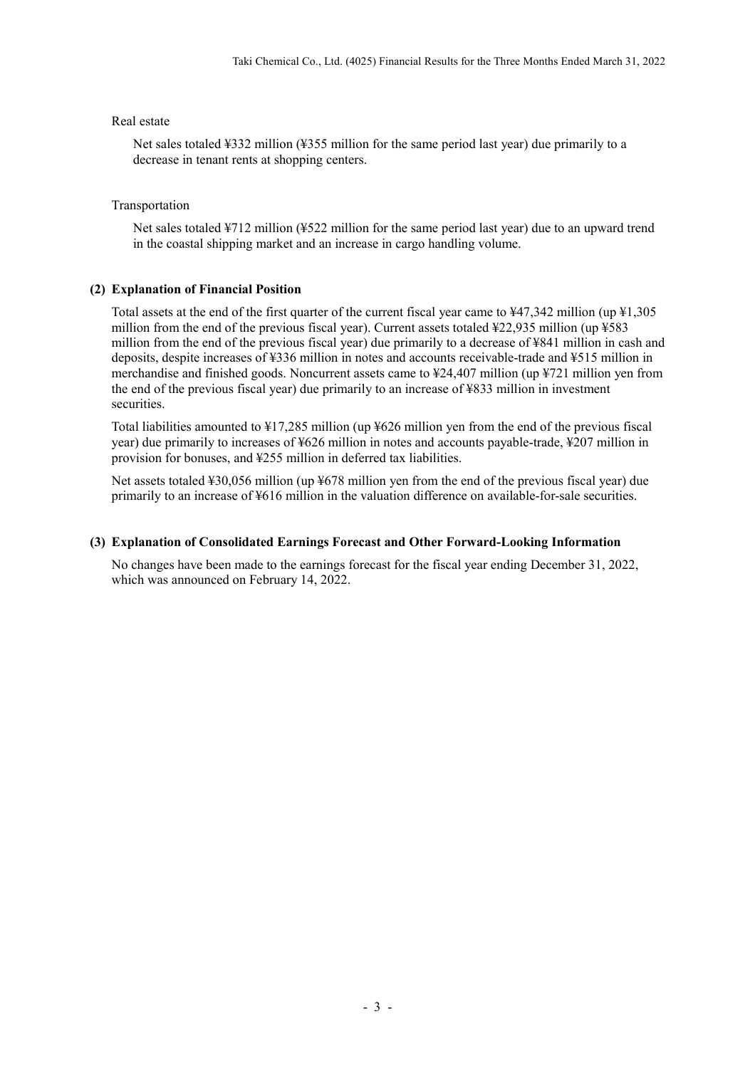#### Real estate

Net sales totaled ¥332 million (¥355 million for the same period last year) due primarily to a decrease in tenant rents at shopping centers.

#### Transportation

Net sales totaled ¥712 million (¥522 million for the same period last year) due to an upward trend in the coastal shipping market and an increase in cargo handling volume.

### **(2) Explanation of Financial Position**

Total assets at the end of the first quarter of the current fiscal year came to ¥47,342 million (up ¥1,305 million from the end of the previous fiscal year). Current assets totaled ¥22,935 million (up ¥583 million from the end of the previous fiscal year) due primarily to a decrease of ¥841 million in cash and deposits, despite increases of ¥336 million in notes and accounts receivable-trade and ¥515 million in merchandise and finished goods. Noncurrent assets came to ¥24,407 million (up ¥721 million yen from the end of the previous fiscal year) due primarily to an increase of ¥833 million in investment securities.

Total liabilities amounted to ¥17,285 million (up ¥626 million yen from the end of the previous fiscal year) due primarily to increases of ¥626 million in notes and accounts payable-trade, ¥207 million in provision for bonuses, and ¥255 million in deferred tax liabilities.

Net assets totaled ¥30,056 million (up ¥678 million yen from the end of the previous fiscal year) due primarily to an increase of ¥616 million in the valuation difference on available-for-sale securities.

#### **(3) Explanation of Consolidated Earnings Forecast and Other Forward-Looking Information**

No changes have been made to the earnings forecast for the fiscal year ending December 31, 2022, which was announced on February 14, 2022.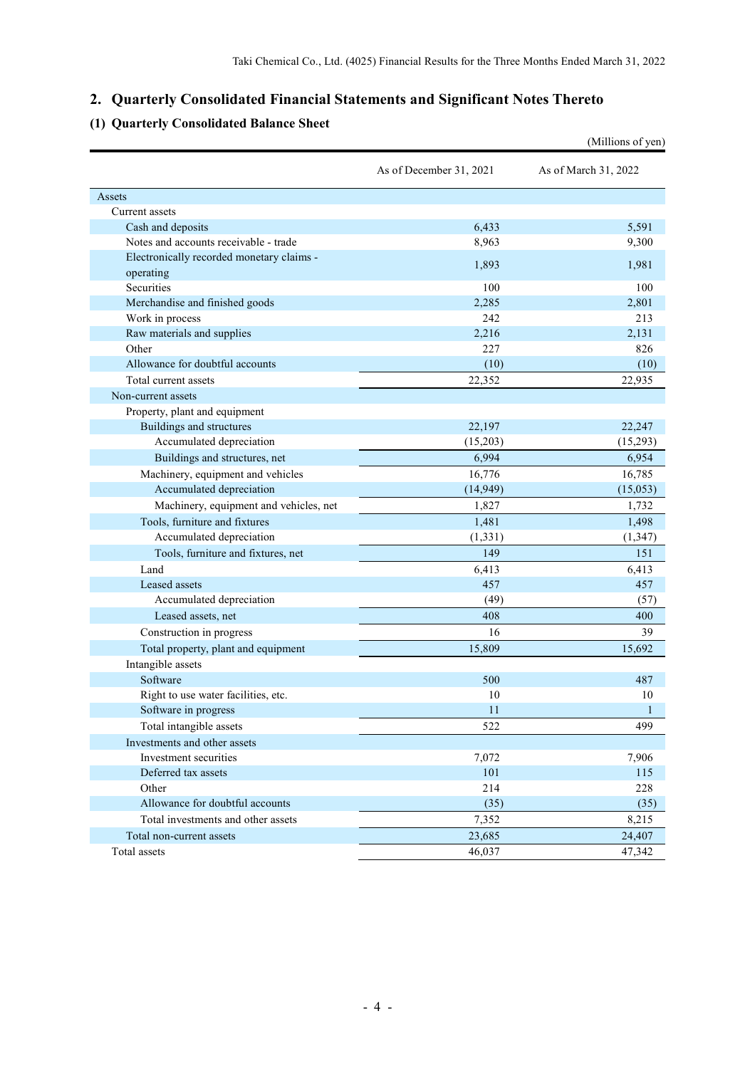## **2. Quarterly Consolidated Financial Statements and Significant Notes Thereto**

## **(1) Quarterly Consolidated Balance Sheet**

|                                                        |                         | (Millions of yen)    |
|--------------------------------------------------------|-------------------------|----------------------|
|                                                        | As of December 31, 2021 | As of March 31, 2022 |
| Assets                                                 |                         |                      |
| Current assets                                         |                         |                      |
| Cash and deposits                                      | 6,433                   | 5,591                |
| Notes and accounts receivable - trade                  | 8,963                   | 9,300                |
| Electronically recorded monetary claims -<br>operating | 1,893                   | 1,981                |
| Securities                                             | 100                     | 100                  |
| Merchandise and finished goods                         | 2,285                   | 2,801                |
| Work in process                                        | 242                     | 213                  |
| Raw materials and supplies                             | 2,216                   | 2,131                |
| Other                                                  | 227                     | 826                  |
| Allowance for doubtful accounts                        | (10)                    | (10)                 |
| Total current assets                                   | 22,352                  | 22,935               |
| Non-current assets                                     |                         |                      |
| Property, plant and equipment                          |                         |                      |
| Buildings and structures                               | 22,197                  | 22,247               |
| Accumulated depreciation                               | (15,203)                | (15,293)             |
| Buildings and structures, net                          | 6,994                   | 6,954                |
| Machinery, equipment and vehicles                      | 16,776                  | 16,785               |
| Accumulated depreciation                               | (14, 949)               | (15,053)             |
| Machinery, equipment and vehicles, net                 | 1,827                   | 1,732                |
| Tools, furniture and fixtures                          | 1,481                   | 1,498                |
| Accumulated depreciation                               | (1, 331)                | (1, 347)             |
| Tools, furniture and fixtures, net                     | 149                     | 151                  |
| Land                                                   | 6,413                   | 6,413                |
| Leased assets                                          | 457                     | 457                  |
| Accumulated depreciation                               | (49)                    | (57)                 |
| Leased assets, net                                     | 408                     | 400                  |
| Construction in progress                               | 16                      | 39                   |
| Total property, plant and equipment                    | 15,809                  | 15,692               |
| Intangible assets                                      |                         |                      |
| Software                                               | 500                     | 487                  |
| Right to use water facilities, etc.                    | 10                      | 10                   |
| Software in progress                                   | 11                      | $\mathbf{1}$         |
| Total intangible assets                                | 522                     | 499                  |
| Investments and other assets                           |                         |                      |
| Investment securities                                  | 7,072                   | 7,906                |
| Deferred tax assets                                    | 101                     | 115                  |
| Other                                                  | 214                     | 228                  |
| Allowance for doubtful accounts                        | (35)                    | (35)                 |
| Total investments and other assets                     | 7,352                   | 8,215                |
| Total non-current assets                               | 23,685                  | 24,407               |
| Total assets                                           | 46,037                  | 47,342               |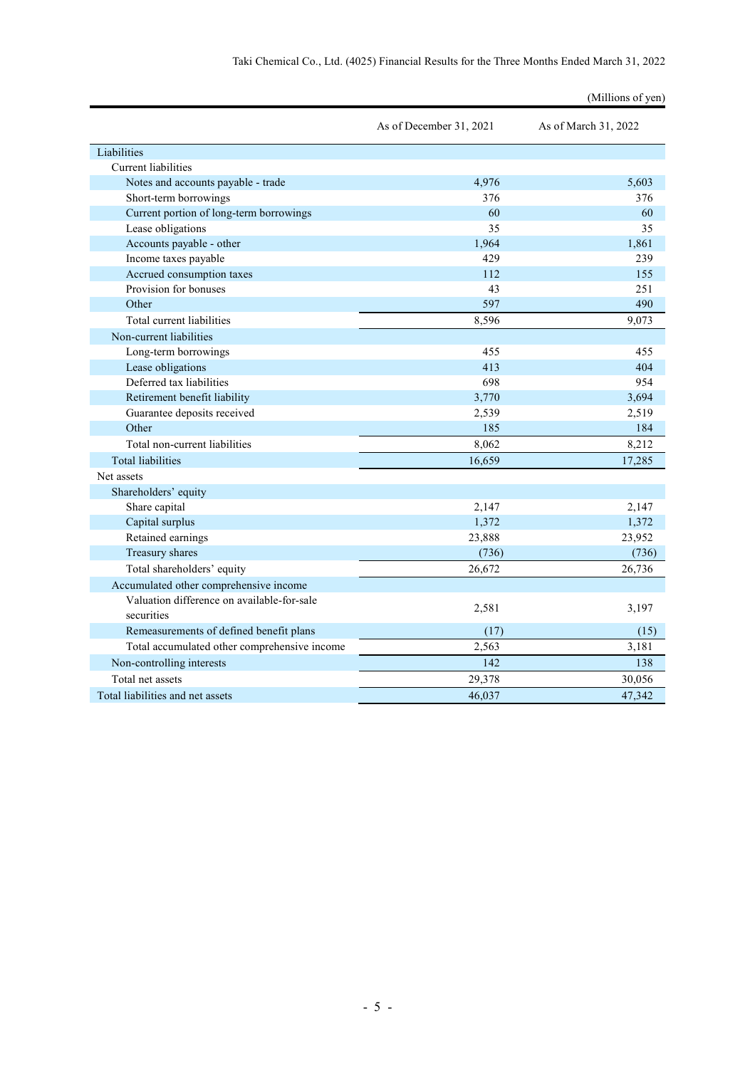|                                              | As of December 31, 2021 | As of March 31, 2022 |
|----------------------------------------------|-------------------------|----------------------|
| Liabilities                                  |                         |                      |
| <b>Current liabilities</b>                   |                         |                      |
| Notes and accounts payable - trade           | 4,976                   | 5.603                |
| Short-term borrowings                        | 376                     | 376                  |
| Current portion of long-term borrowings      | 60                      | 60                   |
| Lease obligations                            | 35                      | 35                   |
| Accounts payable - other                     | 1.964                   | 1,861                |
| Income taxes payable                         | 429                     | 239                  |
| Accrued consumption taxes                    | 112                     | 155                  |
| Provision for bonuses                        | 43                      | 251                  |
| Other                                        | 597                     | 490                  |
| Total current liabilities                    | 8,596                   | 9,073                |
| Non-current liabilities                      |                         |                      |
| Long-term borrowings                         | 455                     | 455                  |
| Lease obligations                            | 413                     | 404                  |
| Deferred tax liabilities                     | 698                     | 954                  |
| Retirement benefit liability                 | 3,770                   | 3,694                |
| Guarantee deposits received                  | 2,539                   | 2,519                |
| Other                                        | 185                     | 184                  |
| Total non-current liabilities                | 8,062                   | 8,212                |
| <b>Total liabilities</b>                     | 16,659                  | 17,285               |
| Net assets                                   |                         |                      |
| Shareholders' equity                         |                         |                      |
| Share capital                                | 2,147                   | 2,147                |
| Capital surplus                              | 1,372                   | 1,372                |
| Retained earnings                            | 23,888                  | 23,952               |
| Treasury shares                              | (736)                   | (736)                |
| Total shareholders' equity                   | 26,672                  | 26,736               |
| Accumulated other comprehensive income       |                         |                      |
| Valuation difference on available-for-sale   |                         |                      |
| securities                                   | 2,581                   | 3,197                |
| Remeasurements of defined benefit plans      | (17)                    | (15)                 |
| Total accumulated other comprehensive income | 2,563                   | 3,181                |
| Non-controlling interests                    | 142                     | 138                  |
| Total net assets                             | 29,378                  | 30,056               |
| Total liabilities and net assets             | 46,037                  | 47,342               |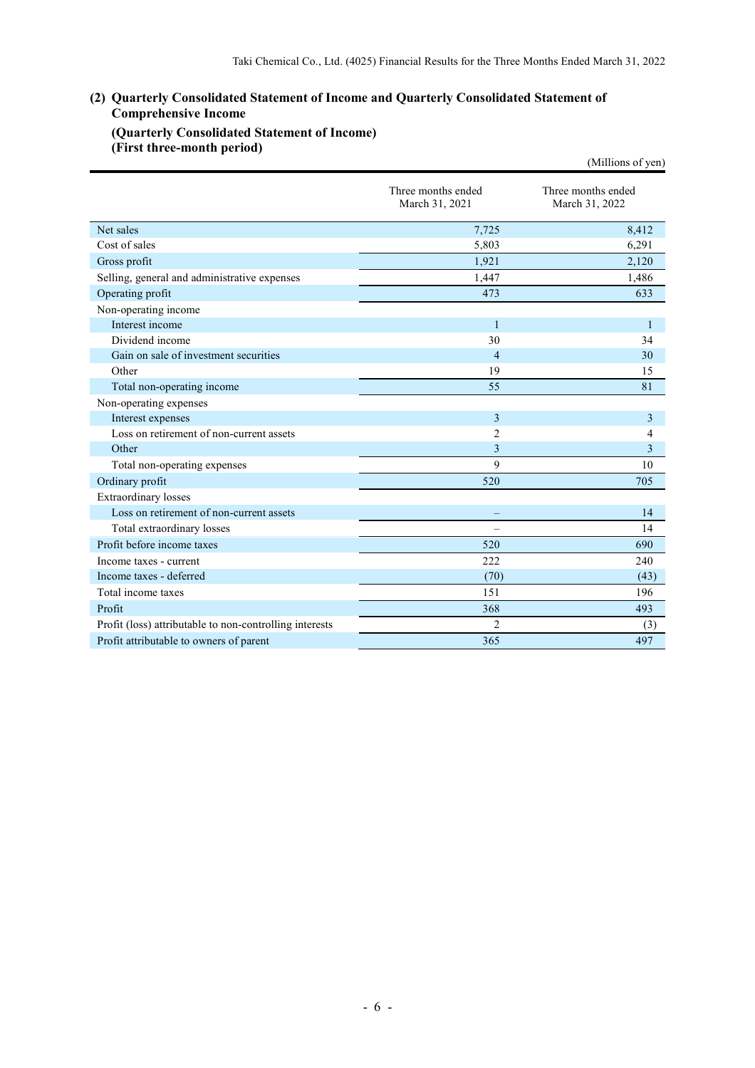## **(2) Quarterly Consolidated Statement of Income and Quarterly Consolidated Statement of Comprehensive Income**

## **(Quarterly Consolidated Statement of Income) (First three-month period)**

|                                                         |                                      | (Millions of yen)                    |
|---------------------------------------------------------|--------------------------------------|--------------------------------------|
|                                                         | Three months ended<br>March 31, 2021 | Three months ended<br>March 31, 2022 |
| Net sales                                               | 7,725                                | 8,412                                |
| Cost of sales                                           | 5,803                                | 6,291                                |
| Gross profit                                            | 1,921                                | 2,120                                |
| Selling, general and administrative expenses            | 1.447                                | 1,486                                |
| Operating profit                                        | 473                                  | 633                                  |
| Non-operating income                                    |                                      |                                      |
| Interest income                                         | $\mathbf{1}$                         | 1                                    |
| Dividend income                                         | 30                                   | 34                                   |
| Gain on sale of investment securities                   | $\overline{4}$                       | 30                                   |
| Other                                                   | 19                                   | 15                                   |
| Total non-operating income                              | 55                                   | 81                                   |
| Non-operating expenses                                  |                                      |                                      |
| Interest expenses                                       | 3                                    | 3                                    |
| Loss on retirement of non-current assets                | $\overline{2}$                       | $\overline{4}$                       |
| Other                                                   | 3                                    | 3                                    |
| Total non-operating expenses                            | 9                                    | 10                                   |
| Ordinary profit                                         | 520                                  | 705                                  |
| <b>Extraordinary</b> losses                             |                                      |                                      |
| Loss on retirement of non-current assets                |                                      | 14                                   |
| Total extraordinary losses                              | $\overline{\phantom{a}}$             | 14                                   |
| Profit before income taxes                              | 520                                  | 690                                  |
| Income taxes - current                                  | 222                                  | 240                                  |
| Income taxes - deferred                                 | (70)                                 | (43)                                 |
| Total income taxes                                      | 151                                  | 196                                  |
| Profit                                                  | 368                                  | 493                                  |
| Profit (loss) attributable to non-controlling interests | $\overline{2}$                       | (3)                                  |
| Profit attributable to owners of parent                 | 365                                  | 497                                  |
|                                                         |                                      |                                      |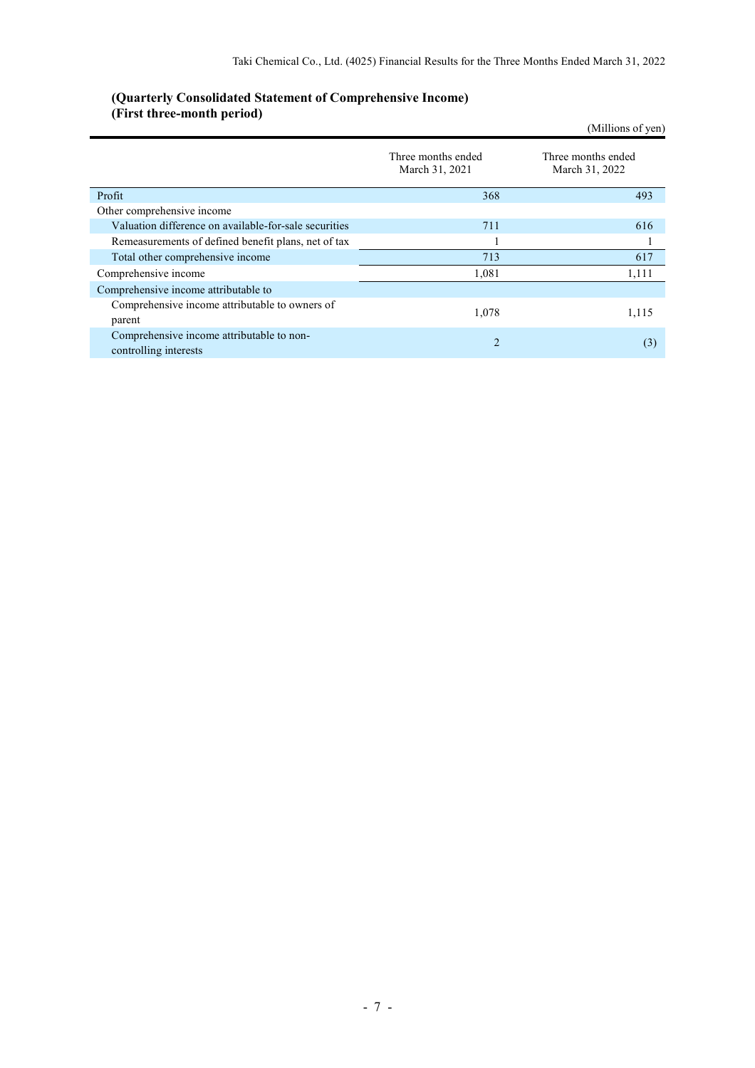| $(1.115)$ value of another person $($                              |                                      | (Millions of yen)                    |
|--------------------------------------------------------------------|--------------------------------------|--------------------------------------|
|                                                                    | Three months ended<br>March 31, 2021 | Three months ended<br>March 31, 2022 |
| Profit                                                             | 368                                  | 493                                  |
| Other comprehensive income                                         |                                      |                                      |
| Valuation difference on available-for-sale securities              | 711                                  | 616                                  |
| Remeasurements of defined benefit plans, net of tax                |                                      |                                      |
| Total other comprehensive income                                   | 713                                  | 617                                  |
| Comprehensive income                                               | 1,081                                | 1,111                                |
| Comprehensive income attributable to                               |                                      |                                      |
| Comprehensive income attributable to owners of<br>parent           | 1,078                                | 1,115                                |
| Comprehensive income attributable to non-<br>controlling interests | $\overline{2}$                       | (3)                                  |

#### **(Quarterly Consolidated Statement of Comprehensive Income) (First three-month period)**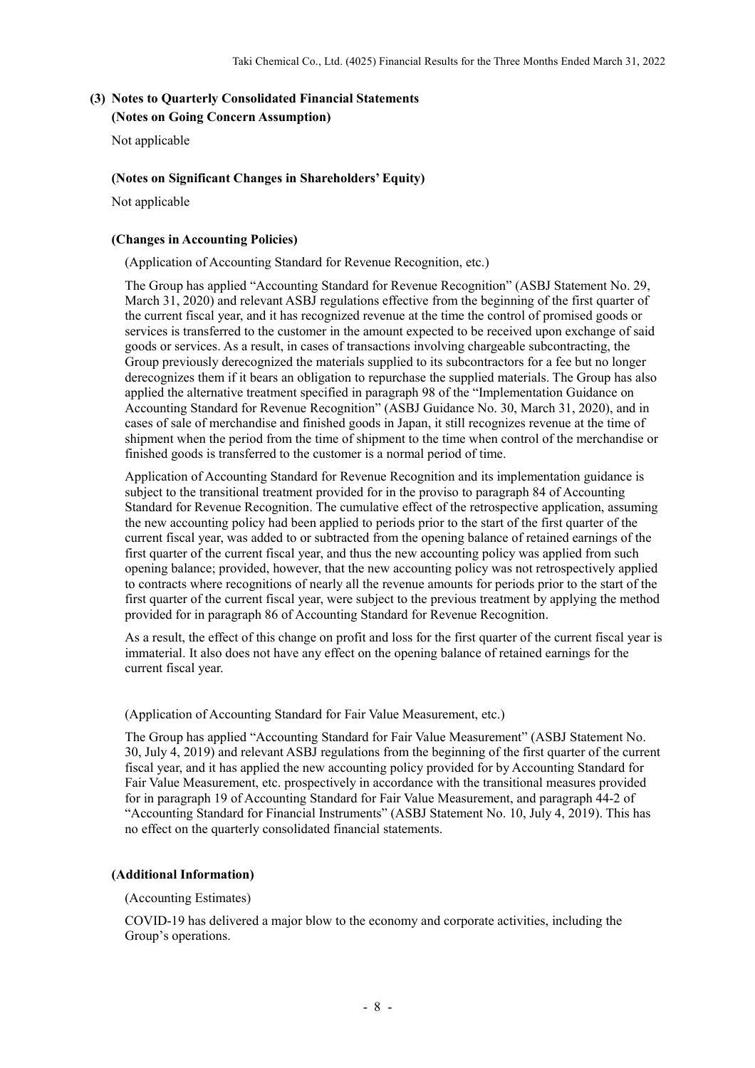# **(3) Notes to Quarterly Consolidated Financial Statements**

**(Notes on Going Concern Assumption)**

Not applicable

## **(Notes on Significant Changes in Shareholders' Equity)**

Not applicable

## **(Changes in Accounting Policies)**

(Application of Accounting Standard for Revenue Recognition, etc.)

The Group has applied "Accounting Standard for Revenue Recognition" (ASBJ Statement No. 29, March 31, 2020) and relevant ASBJ regulations effective from the beginning of the first quarter of the current fiscal year, and it has recognized revenue at the time the control of promised goods or services is transferred to the customer in the amount expected to be received upon exchange of said goods or services. As a result, in cases of transactions involving chargeable subcontracting, the Group previously derecognized the materials supplied to its subcontractors for a fee but no longer derecognizes them if it bears an obligation to repurchase the supplied materials. The Group has also applied the alternative treatment specified in paragraph 98 of the "Implementation Guidance on Accounting Standard for Revenue Recognition" (ASBJ Guidance No. 30, March 31, 2020), and in cases of sale of merchandise and finished goods in Japan, it still recognizes revenue at the time of shipment when the period from the time of shipment to the time when control of the merchandise or finished goods is transferred to the customer is a normal period of time.

Application of Accounting Standard for Revenue Recognition and its implementation guidance is subject to the transitional treatment provided for in the proviso to paragraph 84 of Accounting Standard for Revenue Recognition. The cumulative effect of the retrospective application, assuming the new accounting policy had been applied to periods prior to the start of the first quarter of the current fiscal year, was added to or subtracted from the opening balance of retained earnings of the first quarter of the current fiscal year, and thus the new accounting policy was applied from such opening balance; provided, however, that the new accounting policy was not retrospectively applied to contracts where recognitions of nearly all the revenue amounts for periods prior to the start of the first quarter of the current fiscal year, were subject to the previous treatment by applying the method provided for in paragraph 86 of Accounting Standard for Revenue Recognition.

As a result, the effect of this change on profit and loss for the first quarter of the current fiscal year is immaterial. It also does not have any effect on the opening balance of retained earnings for the current fiscal year.

(Application of Accounting Standard for Fair Value Measurement, etc.)

The Group has applied "Accounting Standard for Fair Value Measurement" (ASBJ Statement No. 30, July 4, 2019) and relevant ASBJ regulations from the beginning of the first quarter of the current fiscal year, and it has applied the new accounting policy provided for by Accounting Standard for Fair Value Measurement, etc. prospectively in accordance with the transitional measures provided for in paragraph 19 of Accounting Standard for Fair Value Measurement, and paragraph 44-2 of "Accounting Standard for Financial Instruments" (ASBJ Statement No. 10, July 4, 2019). This has no effect on the quarterly consolidated financial statements.

## **(Additional Information)**

(Accounting Estimates)

COVID-19 has delivered a major blow to the economy and corporate activities, including the Group's operations.